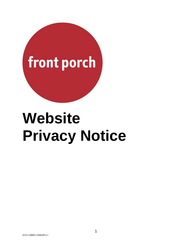

# **Website Privacy Notice**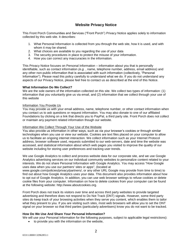## **Website Privacy Notice**

This Front Porch Communities and Services ("Front Porch") Privacy Notice applies solely to information collected by this web site. It describes:

- 1. What Personal Information is collected from you through the web site, how it is used, and with whom it may be shared.
- 2. What choices are available to you regarding the use of your data
- 3. The security procedures in place to protect the misuse of your information.
- 4. How you can correct any inaccuracies in the information.

This Privacy Notice focuses on Personal Information – information about you that is personally identifiable, such as contact information *(e.g.* , name, telephone number, address, email address) and any other non-public information that is associated with such information (collectively, "Personal Information"). Please read this policy carefully to understand what we do. If you do not understand any aspects of our Privacy Notice, please feel free to contact us as described at the end of this Notice.

## **What Information Do We Collect?**

We are the sole owners of the information collected on this site. We collect two types of information: (1) information that you voluntarily give us via email, and (2) information that we collect through your use of this website

## Information You Provide Us

You may provide us with your email address, name, telephone number, or other contact information when you contact us to ask questions or request information. You may also donate to one of our affiliated Foundations by clicking on a link that directs you to PayPal, a third party site. Front Porch does not collect or maintain any payment related information though our website.

## Information We Collect Through Your Use of the Website

You also provide us information in other ways, such as via your browser's cookies or through similar technologies when you use or view our website. Cookies are text files placed on your computer to allow us to facilitate an ongoing internet interaction. We collect information such as your Internet Protocol address, browser software used, requests submitted to our web-servers, date and time the website was accessed, and statistical information about which web pages you visited to improve the quality of our website including for storing user preferences and tracking user trends.

We use Google Analytics to collect and process website data for our corporate site, and we use Google Analytics advertising services on our individual community websites to personalize content related to your interests. We do not share Personal Information with Google Analytics. You may access "How Google uses data when you use our partners' sites or apps", (located at

www.google.com/policies/privacy/partners/, or any other URL Google may provide from time to time) to find out about how Google Analytics uses your data. This document also provides information about how to opt out of Google Analytics. In addition, you can use web browser settings to refuse cookies or delete cookie files from your computer. Information on how to delete cookies from your computer can be found at the following website: http://www.aboutcookies.org.

Front Porch does not track its visitors over time and across third party websites to provide targeted advertising and therefore does not respond to Do Not Track (DNT) signals. However, some third party sites do keep track of your browsing activities when they serve you content, which enables them to tailor what they present to you. If you are visiting such sites, most web browsers will allow you to set the DNT signal on your browser so that third parties (particularly advertisers) know you do not want to be tracked.

## **How Do We Use And Share Your Personal Information?**

We will use your Personal Information for the following purposes, subject to applicable legal restrictions):

to provide you with the information on the website,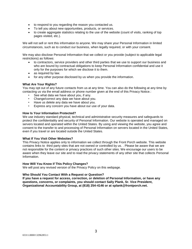- to respond to you regarding the reason you contacted us.
- To tell you about new opportunities, products, or services.
- to create aggregate statistics relating to the use of the website (count of visits, ranking of top pages visited, etc.).

We will not sell or rent this information to anyone. We may share your Personal Information in limited circumstances, such as to conduct our business, when legally required, or with your consent.

We may also disclose Personal Information that we collect or you provide (subject to applicable legal restrictions) as follows:

- to contractors, service providers and other third parties that we use to support our business and who are bound by contractual obligations to keep Personal Information confidential and use it only for the purposes for which we disclose it to them.
- as required by law.
- for any other purpose disclosed by us when you provide the information.

## **What Are Your Rights?**

You may opt out of any future contacts from us at any time. You can also do the following at any time by contacting us via the email address or phone number given at the end of this Privacy Notice.:

- See what data we have about you, if any.
- Change/correct any data we have about you.
- Have us delete any data we have about you.
- Express any concern you have about our use of your data.

## **How Is Your Information Protected?**

We use industry standard physical, technical and administrative security measures and safeguards to protect the confidentiality and security of Personal Information. Our website is operated and managed on servers located and operated within the United States. By using and viewing the website, you agree and consent to the transfer to and processing of Personal Information on servers located in the United States, even if you travel or are located outside the United States.

## **What If You Visit Other Websites?**

This Privacy Notice applies only to information we collect through the Front Porch website. This website contains links to third party sites that are not owned or controlled by us. . Please be aware that we are not responsible for the content or privacy practices of such other sites. We encourage our users to be aware when they leave our site and to read the privacy statements of any other site that collects Personal Information.

## **How Will You Know if This Policy Changes?**

We will post any revised version of the Privacy Policy on this webpage.

## **Who Should You Contact With a Request or Question?**

**If you have a request for access, correction, or deletion of Personal Information, or have any questions, concerns, or complaints, you should contact Sally Plank, Sr. Vice President, Organizational Accountability Group, at (818) 254-4146 or at splank@frontporch.net.**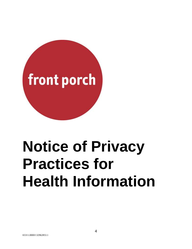

## **Notice of Privacy Practices for Health Information**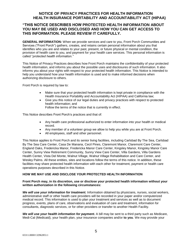## **"THIS NOTICE DESCRIBES HOW PROTECTED HEALTH INFORMATION ABOUT YOU MAY BE USED AND DISCLOSED AND HOW YOU CAN GET ACCESS TO THIS INFORMATION. PLEASE REVIEW IT CAREFULLY.**

**GENERAL INFORMATION:** When we provide services and care to you, Front Porch Communities and Services ("Front Porch") gathers, creates, and retains certain personal information about you that identifies who you are and relates to your past, present, or future physical or mental condition, the provision of health care to you, and payment for your health care services. This personal information is called "*protected health information."* 

This Notice of Privacy Practices describes how Front Porch maintains the confidentiality of your protected health information, and informs you about the possible uses and disclosures of such information. It also informs you about your rights with respect to your protected health information. This Notice is intended to help you understand how your health information is used and to make informed decisions when authorizing disclosure to others.

Front Porch is required by law to:

- Make sure that your protected health information is kept private in compliance with the Health Insurance Portability and Accountability Act (HIPAA) and California law;
- Give you this notice of our legal duties and privacy practices with respect to protected health information; and
	- Follow the terms of the notice that is currently in effect.

This Notice describes Front Porch's practices and that of:

- Any health care professional authorized to enter information into your health or medical record.
- Any member of a volunteer group we allow to help you while you are at Front Porch.
- All employees, staff and other personnel.

This Notice applies to Front Porch and its senior living facilities, including Carlsbad By The Sea, Carlsbad By The Sea Care Center, Casa De Manana, Cecil Pines, Claremont Manor, Claremont Care Center, England Oaks, Fredericka Manor, Fredericka Manor Care Center, Kingsley Manor, Kingsley Manor Care Center, Sunny View Retirement Community, Sunny View Care Center, Villa Gardens, Villa Gardens Health Center, Vista Del Monte, Walnut Village, Walnut Village Rehabilitation and Care Center, and Wesley Palms. All these entities, sites and locations follow the terms of this notice. In addition, these facilities may share protected health information with each other for treatment, payment or health care operations purposes described in this Notice.

## **HOW WE MAY USE AND DISCLOSE YOUR PROTECTED HEALTH INFORMATION**

## **Front Porch may, in its discretion, use or disclose your protected health information without your written authorization in the following circumstances:**

*We will use your information for treatment.* Information obtained by physicians, nurses, social workers, administrative staff or other health care providers will be recorded in your paper and/or computerized medical record. This information is used to plan your treatment and services as well as to document progress, events, plans of care, observations and evaluation of care and treatment, information for consultants, diagnostic services, or for other providers or transfer to another Health Facility.

We will use your health information for payment. A bill may be sent to a third party such as Medicare, Medi-Cal (Medicaid), your health plan, your insurance companies and/or **to you**. We may provide your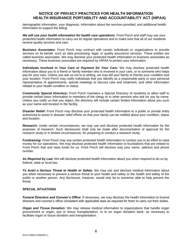demographic information, your diagnosis, information about the services provided, and additional health information to support the billing.

We will use your health information for health care operations. Front Porch and staff may use your protected health information to carry out its regular operations and to make sure that all of our residents receive quality services and care.

*Business Associates:* Front Porch may contract with certain individuals or organizations to provide services on its behalf, such as data processing, legal, or quality assurance services. These entities are called business associates. We may disclose your protected health information to business associates as necessary. These business associates are required by HIPAA to protect your information.

*Individuals Involved in Your Care or Payment for Your Care:* We may disclose protected health information about you to a friend or family member who is involved in your care, or to someone who helps pay for your care. Unless you ask us not to in writing, we may tell your family or friends your condition and your location. Front Porch may notify individuals that you identify as a responsible party or your personal representative of appointments, special meetings to discuss care and treatment, and other information related to your health condition or status.

*Community Special Directory:* Front Porch maintains a Special Directory of residents to allow staff to provide certain basic information to members of the clergy or to other persons who ask for you by name. Unless you notify us that you object, the directory will include certain limited information about you such as your name and location in the facility.

**Disaster Relief:** Front Porch may disclose your protected health information to a public or private entity authorized to assist in disaster relief efforts so that your family can be notified about your condition, status and location.

*Research:* Under certain circumstances, we may use and disclose protected health information for the purposes of research. Such disclosures shall only be made after documentation of approval for the research study or in limited circumstances, for preparing to conduct a research study.

*Fundraising:* Front Porch may use certain protected health information to contact you in an effort to raise money for our operations. We may disclose protected health information to foundations that are related to Front Porch that and raise funds for us. Front Porch will disclose only your name, address and phone number.

*As Required by Law:* We will disclose protected health information about you when required to do so by federal, state or local law.

*To Avert a Serious Threat to Health or Safety*: We may use and disclose medical information about you when necessary to prevent a serious threat to your health and safety or the health and safety of the public or another person. Any disclosure, however, would only be to someone able to help prevent the threat.

## **SPECIAL SITUATIONS**

*Funeral Directors and Coroner's Office*: If necessary, we may disclose the health information to funeral directors and coroner's office consistent with applicable laws as required for them to carry out their duties.

*Organ and Tissue Donation:* We may release medical information to organizations that handle organ procurement or organ, eye or tissue transplantation, or to an organ donation bank, as necessary to facilitate organ or tissue donation and transplantation.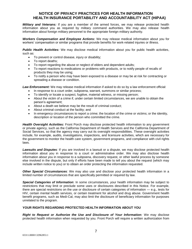*Military and Veterans:* If you are a member of the armed forces, we may release protected health information about you as required by military command authorities. We may also release health information about foreign military personnel to the appropriate foreign military authority.

*Workers Compensation and Employee Actions:* We may release medical information about you for workers' compensation or similar programs that provide benefits for work-related injuries or illness.

*Public Health Activities:* We may disclose medical information about you for public health activities, such as:

- To prevent or control disease, injury or disability;
- To report deaths;
- To report regarding the abuse or neglect of elders and dependent adults;
- To report reactions to medications or problems with products, or to notify people of recalls of products they may be using;
- To notify a person who may have been exposed to a disease or may be at risk for contracting or spreading a disease or condition.

*Law Enforcement:* We may release medical information if asked to do so by a law enforcement official:

- In response to a court order, subpoena, warrant, summons or similar process;
- To identify or locate a suspect, fugitive, material witness, or missing person;
- About the victim of a crime if, under certain limited circumstances, we are unable to obtain the person's agreement;
- About a death we believe may be the result of criminal conduct;
- About criminal conduct at the facility; and
- In emergency circumstances to report a crime; the location of the crime or victims; or the identity, description or location of the person who committed the crime.

*Health Oversight Activities:* Front Porch may disclose protected health information to any government or private agency, such as the California Department of Health Services and the California Department of Social Services, so that the agency may carry out its oversight responsibilities. These oversight activities include, for example, audits, investigations, inspections, and licensure activities, which are necessary for the government to monitor the health care system, government programs, and compliance with civil rights laws.

*Lawsuits and Disputes*: If you are involved in a lawsuit or a dispute, we may disclose protected health information about you in response to a court or administrative order. We may also disclose health information about you in response to a subpoena, discovery request, or other lawful process by someone else involved in the dispute, but only if efforts have been made to tell you about the request (which may include written notice to you) or to obtain an order protecting the information requested.

*Other Special Circumstances*: We may also use and disclose your protected health information in a limited number of circumstances that are specifically permitted or required by law.

*Special Categories of Information*: In some circumstances, your health information may be subject to restrictions that may limit or preclude some uses or disclosures described in this Notice. For example, there are special restrictions on the use or disclosure of certain categories of information — e.g., tests for HIV, certain mental health services, or certain treatment for alcohol and drug abuse. Government health benefit programs, such as Medi-Cal, may also limit the disclosure of beneficiary information for purposes unrelated to the program.

## **YOUR RIGHTS REGARDING PROTECTED HEALTH INFORMATION ABOUT YOU**

*Right to Request or Authorize the Use and Disclosure of Your Information:* We may disclose protected health information when requested by you. Front Porch will require a written authorization from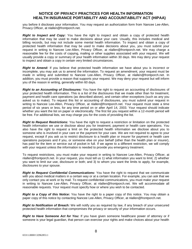you before it discloses your information. You may request an authorization form from Nancee Lee-Allen, Privacy Officer, at nlallen@frontporch.net.

*Right to Inspect and Copy:* You have the right to inspect and obtain a copy of protected health information that may be used to make decisions about your care. Usually, this includes medical and billing records, but may not include some mental health information. To inspect and obtain a copy of protected health information that may be used to make decisions about you, you must submit your request in writing to Nancee Lee-Allen, Privacy Officer, at nlallen@frontporch.net. We may charge a reasonable fee for the costs of copying, mailing or other supplies associated with your request. We will usually provide a copy or summary of your health information within 30 days. We may deny your request to inspect and obtain a copy in certain very limited circumstances.

*Right to Amend:* If you believe that protected health information we have about you is incorrect or incomplete, you may ask us to amend the information. To request an amendment, your request must be made in writing and submitted to Nancee Lee-Allen, Privacy Officer, at nlallen@frontporch.net. In addition, you must provide a reason that supports your request. We may deny your request but will inform you of the reason in writing, generally within 60 days.

*Right to an Accounting of Disclosures:* You have the right to request an accounting of disclosures of your protected health information. This is a list of the disclosures that we made other than for treatment, payment and health care operations (as described above), and certain other exceptions (such as any you asked us to make). To request this list or accounting of disclosures, you must submit your request in writing to Nancee Lee-Allen, Privacy Officer, at nlallen@frontporch.net. Your request must state a time period of six years or less, for any time period on or after April 14, 2003. Your request should indicate whether you want the list on paper or electronically. The first list you request within a 12-month period will be free. For additional lists, we may charge you for the costs of providing the list.

*Right to Request Restrictions:* You have the right to request a restriction or limitation on the protected health information we use or disclose about you for treatment, payment or health care operations. You also have the right to request a limit on the protected health information we disclose about you to someone who is involved in your care or the payment for your care. We are not required to agree to your request, except if you ask us to restrict disclosure to a health plan or insurer for payment or health care operations purposes and if you, or someone else on your behalf (other than the health plan or insurer), has paid for the item or service out of pocket in full. If we agree to a different restriction, we will comply with your request unless the information is needed to provide you emergency treatment.

To request restrictions, you must make your request in writing to Nancee Lee-Allen, Privacy Officer, at nlallen@frontporch.net. In your request, you must tell us 1) what information you want to limit; 2) whether you want to limit our use, disclosure or both; and 3) to whom you want the limits to apply, for example, disclosures to your spouse.

*Right to Request Confidential Communications:* You have the right to request that we communicate with you about medical matters in a certain way or at a certain location. For example, you can ask that we only contact you at work or by mail. To request confidential communications, you must make your request in writing to Nancee Lee-Allen, Privacy Officer, at nlallen@frontporch.net. We will accommodate all reasonable requests. Your request must specify how or where you wish to be contacted.

*Right to a Copy of this Notice***:** You have the right to a paper copy of this notice. You may obtain a paper copy of this notice by contacting Nancee Lee-Allen, Privacy Officer, at nlallen@frontporch.net.

*Right to Notification of Breach:* We will notify you as required by law, if any breach of your unsecured protected health information that compromises the privacy or security of your information occurs.

*Right to Have Someone Act for You:* If you have given someone healthcare power of attorney or if someone is your legal guardian, that person can exercise your rights and make choices about your health